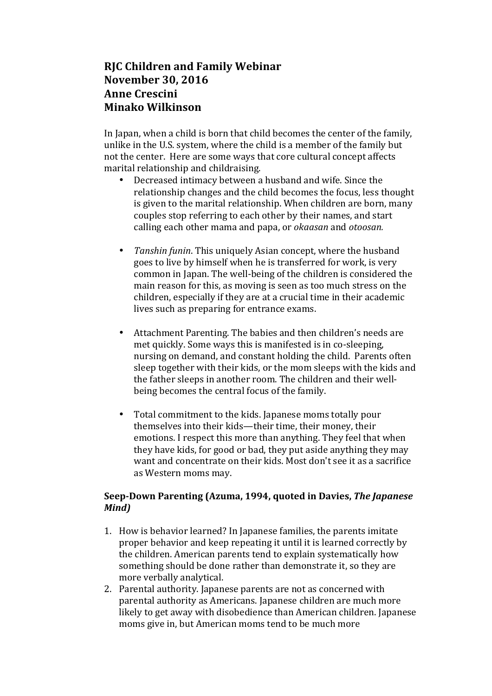# **RJC Children and Family Webinar November 30, 2016 Anne Crescini Minako Wilkinson**

In Japan, when a child is born that child becomes the center of the family, unlike in the U.S. system, where the child is a member of the family but not the center. Here are some ways that core cultural concept affects marital relationship and childraising.

- Decreased intimacy between a husband and wife. Since the relationship changes and the child becomes the focus, less thought is given to the marital relationship. When children are born, many couples stop referring to each other by their names, and start calling each other mama and papa, or *okaasan* and *otoosan.*
- *Tanshin funin*. This uniquely Asian concept, where the husband goes to live by himself when he is transferred for work, is very common in Japan. The well-being of the children is considered the main reason for this, as moving is seen as too much stress on the children, especially if they are at a crucial time in their academic lives such as preparing for entrance exams.
- Attachment Parenting. The babies and then children's needs are met quickly. Some ways this is manifested is in co-sleeping, nursing on demand, and constant holding the child. Parents often sleep together with their kids, or the mom sleeps with the kids and the father sleeps in another room. The children and their wellbeing becomes the central focus of the family.
- Total commitment to the kids. Japanese moms totally pour themselves into their kids—their time, their money, their emotions. I respect this more than anything. They feel that when they have kids, for good or bad, they put aside anything they may want and concentrate on their kids. Most don't see it as a sacrifice as Western moms may.

## Seep-Down Parenting (Azuma, 1994, quoted in Davies, The Japanese *Mind)*

- 1. How is behavior learned? In Japanese families, the parents imitate proper behavior and keep repeating it until it is learned correctly by the children. American parents tend to explain systematically how something should be done rather than demonstrate it, so they are more verbally analytical.
- 2. Parental authority. Japanese parents are not as concerned with parental authority as Americans. Japanese children are much more likely to get away with disobedience than American children. Japanese moms give in, but American moms tend to be much more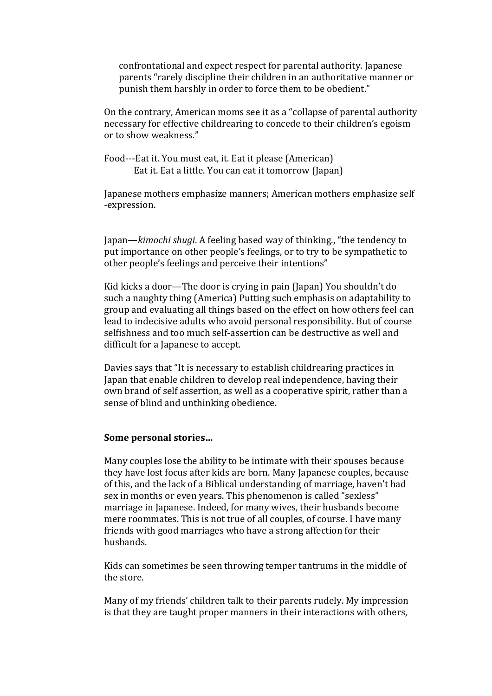confrontational and expect respect for parental authority. Japanese parents "rarely discipline their children in an authoritative manner or punish them harshly in order to force them to be obedient."

On the contrary, American moms see it as a "collapse of parental authority necessary for effective childrearing to concede to their children's egoism or to show weakness."

Food---Eat it. You must eat, it. Eat it please (American) Eat it. Eat a little. You can eat it tomorrow (Japan)

Japanese mothers emphasize manners; American mothers emphasize self -expression.

Japan—*kimochi shugi*. A feeling based way of thinking., "the tendency to put importance on other people's feelings, or to try to be sympathetic to other people's feelings and perceive their intentions"

Kid kicks a door—The door is crying in pain (Japan) You shouldn't do such a naughty thing (America) Putting such emphasis on adaptability to group and evaluating all things based on the effect on how others feel can lead to indecisive adults who avoid personal responsibility. But of course selfishness and too much self-assertion can be destructive as well and difficult for a Japanese to accept.

Davies says that "It is necessary to establish childrearing practices in Japan that enable children to develop real independence, having their own brand of self assertion, as well as a cooperative spirit, rather than a sense of blind and unthinking obedience.

#### Some personal stories...

Many couples lose the ability to be intimate with their spouses because they have lost focus after kids are born. Many Japanese couples, because of this, and the lack of a Biblical understanding of marriage, haven't had sex in months or even vears. This phenomenon is called "sexless" marriage in Japanese. Indeed, for many wives, their husbands become mere roommates. This is not true of all couples, of course. I have many friends with good marriages who have a strong affection for their husbands.

Kids can sometimes be seen throwing temper tantrums in the middle of the store.

Many of my friends' children talk to their parents rudely. My impression is that they are taught proper manners in their interactions with others,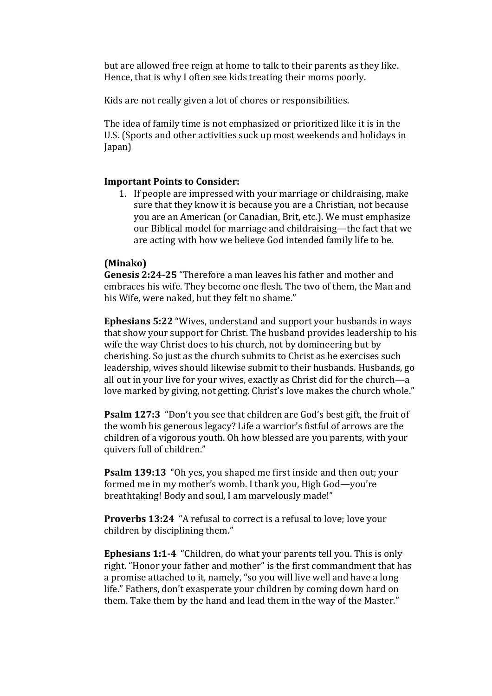but are allowed free reign at home to talk to their parents as they like. Hence, that is why I often see kids treating their moms poorly.

Kids are not really given a lot of chores or responsibilities.

The idea of family time is not emphasized or prioritized like it is in the U.S. (Sports and other activities suck up most weekends and holidays in Japan)

#### **Important Points to Consider:**

1. If people are impressed with your marriage or childraising, make sure that they know it is because you are a Christian, not because you are an American (or Canadian, Brit, etc.). We must emphasize our Biblical model for marriage and childraising—the fact that we are acting with how we believe God intended family life to be.

#### **(Minako)**

**Genesis 2:24-25** "Therefore a man leaves his father and mother and embraces his wife. They become one flesh. The two of them, the Man and his Wife, were naked, but they felt no shame."

**Ephesians 5:22** "Wives, understand and support your husbands in ways that show your support for Christ. The husband provides leadership to his wife the way Christ does to his church, not by domineering but by cherishing. So just as the church submits to Christ as he exercises such leadership, wives should likewise submit to their husbands. Husbands, go all out in your live for your wives, exactly as Christ did for the church—a love marked by giving, not getting. Christ's love makes the church whole."

**Psalm 127:3** "Don't you see that children are God's best gift, the fruit of the womb his generous legacy? Life a warrior's fistful of arrows are the children of a vigorous youth. Oh how blessed are you parents, with your quivers full of children."

**Psalm 139:13** "Oh yes, you shaped me first inside and then out; your formed me in my mother's womb. I thank you, High God—you're breathtaking! Body and soul, I am marvelously made!"

**Proverbs 13:24** "A refusal to correct is a refusal to love; love your children by disciplining them."

**Ephesians 1:1-4** "Children, do what your parents tell you. This is only right. "Honor your father and mother" is the first commandment that has a promise attached to it, namely, "so you will live well and have a long life." Fathers, don't exasperate your children by coming down hard on them. Take them by the hand and lead them in the way of the Master."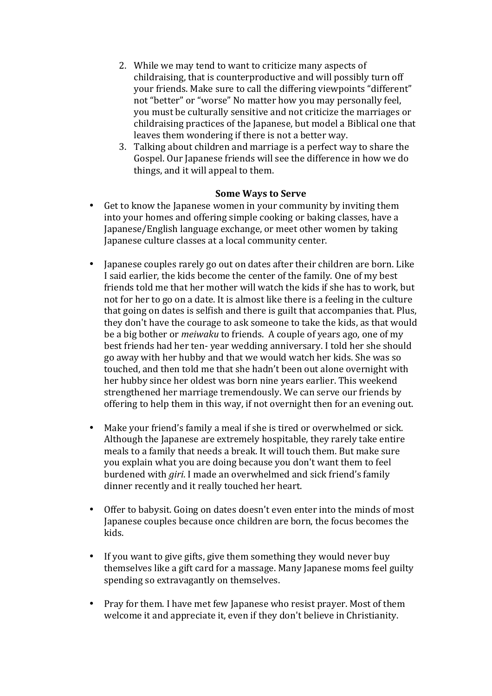- 2. While we may tend to want to criticize many aspects of childraising, that is counterproductive and will possibly turn off your friends. Make sure to call the differing viewpoints "different" not "better" or "worse" No matter how you may personally feel, you must be culturally sensitive and not criticize the marriages or childraising practices of the Japanese, but model a Biblical one that leaves them wondering if there is not a better way.
- 3. Talking about children and marriage is a perfect way to share the Gospel. Our Japanese friends will see the difference in how we do things, and it will appeal to them.

### **Some Ways to Serve**

- Get to know the Japanese women in your community by inviting them into your homes and offering simple cooking or baking classes, have a Japanese/English language exchange, or meet other women by taking Japanese culture classes at a local community center.
- Japanese couples rarely go out on dates after their children are born. Like I said earlier, the kids become the center of the family. One of my best friends told me that her mother will watch the kids if she has to work, but not for her to go on a date. It is almost like there is a feeling in the culture that going on dates is selfish and there is guilt that accompanies that. Plus, they don't have the courage to ask someone to take the kids, as that would be a big bother or *meiwaku* to friends. A couple of years ago, one of my best friends had her ten- year wedding anniversary. I told her she should go away with her hubby and that we would watch her kids. She was so touched, and then told me that she hadn't been out alone overnight with her hubby since her oldest was born nine years earlier. This weekend strengthened her marriage tremendously. We can serve our friends by offering to help them in this way, if not overnight then for an evening out.
- Make your friend's family a meal if she is tired or overwhelmed or sick. Although the Japanese are extremely hospitable, they rarely take entire meals to a family that needs a break. It will touch them. But make sure you explain what you are doing because you don't want them to feel burdened with *giri*. I made an overwhelmed and sick friend's family dinner recently and it really touched her heart.
- Offer to babysit. Going on dates doesn't even enter into the minds of most Japanese couples because once children are born, the focus becomes the kids.
- If you want to give gifts, give them something they would never buy themselves like a gift card for a massage. Many Japanese moms feel guilty spending so extravagantly on themselves.
- Pray for them. I have met few Japanese who resist prayer. Most of them welcome it and appreciate it, even if they don't believe in Christianity.